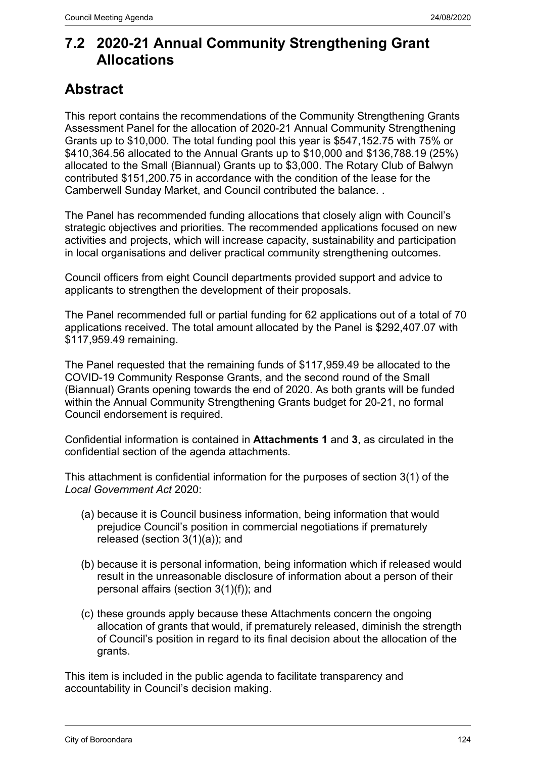### **7.2 2020-21 Annual Community Strengthening Grant Allocations**

## **Abstract**

This report contains the recommendations of the Community Strengthening Grants Assessment Panel for the allocation of 2020-21 Annual Community Strengthening Grants up to \$10,000. The total funding pool this year is \$547,152.75 with 75% or \$410,364.56 allocated to the Annual Grants up to \$10,000 and \$136,788.19 (25%) allocated to the Small (Biannual) Grants up to \$3,000. The Rotary Club of Balwyn contributed \$151,200.75 in accordance with the condition of the lease for the Camberwell Sunday Market, and Council contributed the balance. .

The Panel has recommended funding allocations that closely align with Council's strategic objectives and priorities. The recommended applications focused on new activities and projects, which will increase capacity, sustainability and participation in local organisations and deliver practical community strengthening outcomes.

Council officers from eight Council departments provided support and advice to applicants to strengthen the development of their proposals.

The Panel recommended full or partial funding for 62 applications out of a total of 70 applications received. The total amount allocated by the Panel is \$292,407.07 with \$117,959.49 remaining.

The Panel requested that the remaining funds of \$117,959.49 be allocated to the COVID-19 Community Response Grants, and the second round of the Small (Biannual) Grants opening towards the end of 2020. As both grants will be funded within the Annual Community Strengthening Grants budget for 20-21, no formal Council endorsement is required.

Confidential information is contained in **Attachments 1** and **3**, as circulated in the confidential section of the agenda attachments.

This attachment is confidential information for the purposes of section 3(1) of the *Local Government Act* 2020:

- (a) because it is Council business information, being information that would prejudice Council's position in commercial negotiations if prematurely released (section 3(1)(a)); and
- (b) because it is personal information, being information which if released would result in the unreasonable disclosure of information about a person of their personal affairs (section 3(1)(f)); and
- (c) these grounds apply because these Attachments concern the ongoing allocation of grants that would, if prematurely released, diminish the strength of Council's position in regard to its final decision about the allocation of the grants.

This item is included in the public agenda to facilitate transparency and accountability in Council's decision making.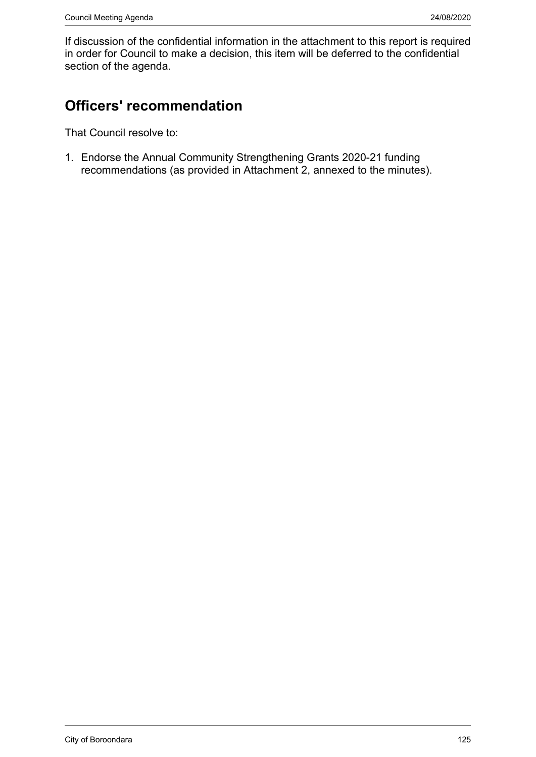If discussion of the confidential information in the attachment to this report is required in order for Council to make a decision, this item will be deferred to the confidential section of the agenda.

# **Officers' recommendation**

That Council resolve to:

1. Endorse the Annual Community Strengthening Grants 2020-21 funding recommendations (as provided in Attachment 2, annexed to the minutes).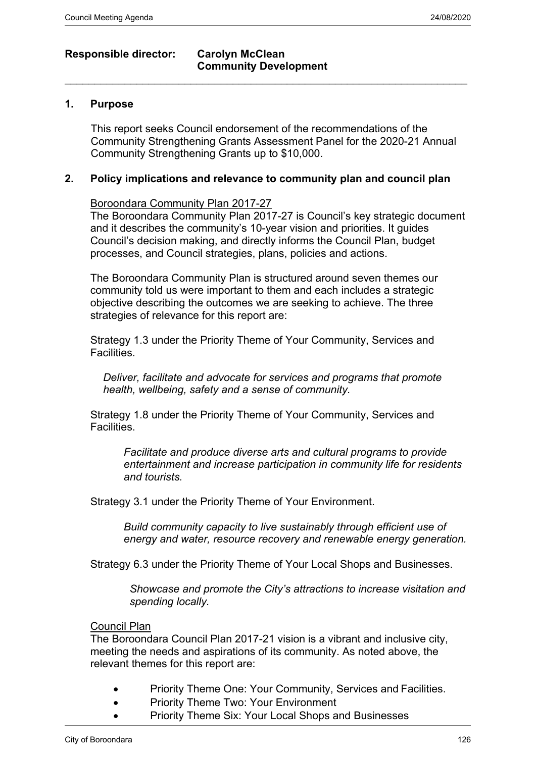### **Responsible director: Carolyn McClean**

### **Community Development**  $\_$  , and the set of the set of the set of the set of the set of the set of the set of the set of the set of the set of the set of the set of the set of the set of the set of the set of the set of the set of the set of th

#### **1. Purpose**

This report seeks Council endorsement of the recommendations of the Community Strengthening Grants Assessment Panel for the 2020-21 Annual Community Strengthening Grants up to \$10,000.

#### **2. Policy implications and relevance to community plan and council plan**

Boroondara Community Plan 2017-27

The Boroondara Community Plan 2017-27 is Council's key strategic document and it describes the community's 10-year vision and priorities. It guides Council's decision making, and directly informs the Council Plan, budget processes, and Council strategies, plans, policies and actions.

The Boroondara Community Plan is structured around seven themes our community told us were important to them and each includes a strategic objective describing the outcomes we are seeking to achieve. The three strategies of relevance for this report are:

Strategy 1.3 under the Priority Theme of Your Community, Services and Facilities.

*Deliver, facilitate and advocate for services and programs that promote health, wellbeing, safety and a sense of community.*

Strategy 1.8 under the Priority Theme of Your Community, Services and Facilities.

*Facilitate and produce diverse arts and cultural programs to provide entertainment and increase participation in community life for residents and tourists.*

Strategy 3.1 under the Priority Theme of Your Environment.

*Build community capacity to live sustainably through efficient use of energy and water, resource recovery and renewable energy generation.*

Strategy 6.3 under the Priority Theme of Your Local Shops and Businesses.

*Showcase and promote the City's attractions to increase visitation and spending locally.*

#### Council Plan

The Boroondara Council Plan 2017-21 vision is a vibrant and inclusive city, meeting the needs and aspirations of its community. As noted above, the relevant themes for this report are:

- Priority Theme One: Your Community, Services and Facilities.
- Priority Theme Two: Your Environment
- Priority Theme Six: Your Local Shops and Businesses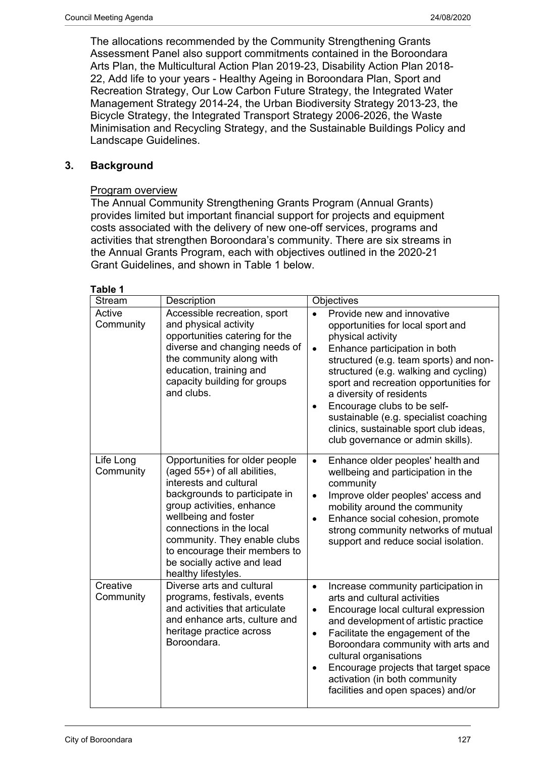The allocations recommended by the Community Strengthening Grants Assessment Panel also support commitments contained in the Boroondara Arts Plan, the Multicultural Action Plan 2019-23, Disability Action Plan 2018- 22, Add life to your years - Healthy Ageing in Boroondara Plan, Sport and Recreation Strategy, Our Low Carbon Future Strategy, the Integrated Water Management Strategy 2014-24, the Urban Biodiversity Strategy 2013-23, the Bicycle Strategy, the Integrated Transport Strategy 2006-2026, the Waste Minimisation and Recycling Strategy, and the Sustainable Buildings Policy and Landscape Guidelines.

#### **3. Background**

#### Program overview

The Annual Community Strengthening Grants Program (Annual Grants) provides limited but important financial support for projects and equipment costs associated with the delivery of new one-off services, programs and activities that strengthen Boroondara's community. There are six streams in the Annual Grants Program, each with objectives outlined in the 2020-21 Grant Guidelines, and shown in Table 1 below.

| <b>Stream</b>          | Description                                                                                                                                                                                                                                                                                                                       | Objectives                                                                                                                                                                                                                                                                                                                                                                                                                                                      |
|------------------------|-----------------------------------------------------------------------------------------------------------------------------------------------------------------------------------------------------------------------------------------------------------------------------------------------------------------------------------|-----------------------------------------------------------------------------------------------------------------------------------------------------------------------------------------------------------------------------------------------------------------------------------------------------------------------------------------------------------------------------------------------------------------------------------------------------------------|
| Active<br>Community    | Accessible recreation, sport<br>and physical activity<br>opportunities catering for the<br>diverse and changing needs of<br>the community along with<br>education, training and<br>capacity building for groups<br>and clubs.                                                                                                     | Provide new and innovative<br>opportunities for local sport and<br>physical activity<br>Enhance participation in both<br>$\bullet$<br>structured (e.g. team sports) and non-<br>structured (e.g. walking and cycling)<br>sport and recreation opportunities for<br>a diversity of residents<br>Encourage clubs to be self-<br>$\bullet$<br>sustainable (e.g. specialist coaching<br>clinics, sustainable sport club ideas,<br>club governance or admin skills). |
| Life Long<br>Community | Opportunities for older people<br>(aged 55+) of all abilities,<br>interests and cultural<br>backgrounds to participate in<br>group activities, enhance<br>wellbeing and foster<br>connections in the local<br>community. They enable clubs<br>to encourage their members to<br>be socially active and lead<br>healthy lifestyles. | Enhance older peoples' health and<br>$\bullet$<br>wellbeing and participation in the<br>community<br>Improve older peoples' access and<br>$\bullet$<br>mobility around the community<br>Enhance social cohesion, promote<br>$\bullet$<br>strong community networks of mutual<br>support and reduce social isolation.                                                                                                                                            |
| Creative<br>Community  | Diverse arts and cultural<br>programs, festivals, events<br>and activities that articulate<br>and enhance arts, culture and<br>heritage practice across<br>Boroondara.                                                                                                                                                            | Increase community participation in<br>$\bullet$<br>arts and cultural activities<br>Encourage local cultural expression<br>$\bullet$<br>and development of artistic practice<br>Facilitate the engagement of the<br>$\bullet$<br>Boroondara community with arts and<br>cultural organisations<br>Encourage projects that target space<br>$\bullet$<br>activation (in both community<br>facilities and open spaces) and/or                                       |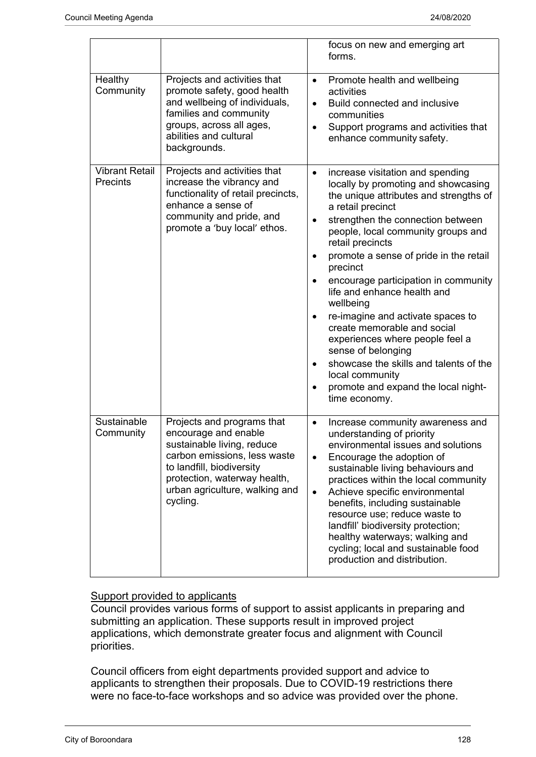|                                          |                                                                                                                                                                                                                             | focus on new and emerging art<br>forms.                                                                                                                                                                                                                                                                                                                                                                                                                                                                                                                                                                                                                                  |
|------------------------------------------|-----------------------------------------------------------------------------------------------------------------------------------------------------------------------------------------------------------------------------|--------------------------------------------------------------------------------------------------------------------------------------------------------------------------------------------------------------------------------------------------------------------------------------------------------------------------------------------------------------------------------------------------------------------------------------------------------------------------------------------------------------------------------------------------------------------------------------------------------------------------------------------------------------------------|
| Healthy<br>Community                     | Projects and activities that<br>promote safety, good health<br>and wellbeing of individuals,<br>families and community<br>groups, across all ages,<br>abilities and cultural<br>backgrounds.                                | Promote health and wellbeing<br>$\bullet$<br>activities<br>Build connected and inclusive<br>$\bullet$<br>communities<br>Support programs and activities that<br>enhance community safety.                                                                                                                                                                                                                                                                                                                                                                                                                                                                                |
| <b>Vibrant Retail</b><br><b>Precints</b> | Projects and activities that<br>increase the vibrancy and<br>functionality of retail precincts,<br>enhance a sense of<br>community and pride, and<br>promote a 'buy local' ethos.                                           | increase visitation and spending<br>locally by promoting and showcasing<br>the unique attributes and strengths of<br>a retail precinct<br>strengthen the connection between<br>people, local community groups and<br>retail precincts<br>promote a sense of pride in the retail<br>$\bullet$<br>precinct<br>encourage participation in community<br>$\bullet$<br>life and enhance health and<br>wellbeing<br>re-imagine and activate spaces to<br>create memorable and social<br>experiences where people feel a<br>sense of belonging<br>showcase the skills and talents of the<br>$\bullet$<br>local community<br>promote and expand the local night-<br>time economy. |
| Sustainable<br>Community                 | Projects and programs that<br>encourage and enable<br>sustainable living, reduce<br>carbon emissions, less waste<br>to landfill, biodiversity<br>protection, waterway health,<br>urban agriculture, walking and<br>cycling. | Increase community awareness and<br>$\bullet$<br>understanding of priority<br>environmental issues and solutions<br>Encourage the adoption of<br>sustainable living behaviours and<br>practices within the local community<br>Achieve specific environmental<br>$\bullet$<br>benefits, including sustainable<br>resource use; reduce waste to<br>landfill' biodiversity protection;<br>healthy waterways; walking and<br>cycling; local and sustainable food<br>production and distribution.                                                                                                                                                                             |

#### Support provided to applicants

Council provides various forms of support to assist applicants in preparing and submitting an application. These supports result in improved project applications, which demonstrate greater focus and alignment with Council priorities.

Council officers from eight departments provided support and advice to applicants to strengthen their proposals. Due to COVID-19 restrictions there were no face-to-face workshops and so advice was provided over the phone.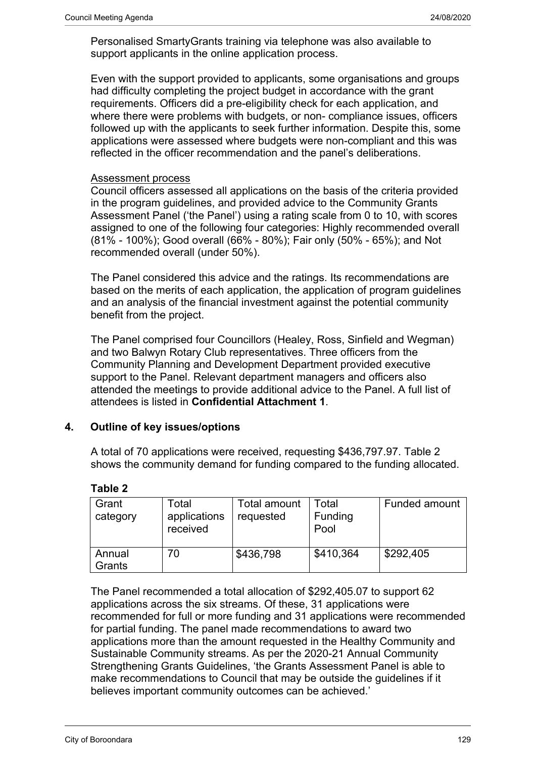Personalised SmartyGrants training via telephone was also available to support applicants in the online application process.

Even with the support provided to applicants, some organisations and groups had difficulty completing the project budget in accordance with the grant requirements. Officers did a pre-eligibility check for each application, and where there were problems with budgets, or non- compliance issues, officers followed up with the applicants to seek further information. Despite this, some applications were assessed where budgets were non-compliant and this was reflected in the officer recommendation and the panel's deliberations.

#### Assessment process

Council officers assessed all applications on the basis of the criteria provided in the program guidelines, and provided advice to the Community Grants Assessment Panel ('the Panel') using a rating scale from 0 to 10, with scores assigned to one of the following four categories: Highly recommended overall (81% - 100%); Good overall (66% - 80%); Fair only (50% - 65%); and Not recommended overall (under 50%).

The Panel considered this advice and the ratings. Its recommendations are based on the merits of each application, the application of program guidelines and an analysis of the financial investment against the potential community benefit from the project.

The Panel comprised four Councillors (Healey, Ross, Sinfield and Wegman) and two Balwyn Rotary Club representatives. Three officers from the Community Planning and Development Department provided executive support to the Panel. Relevant department managers and officers also attended the meetings to provide additional advice to the Panel. A full list of attendees is listed in **Confidential Attachment 1**.

#### **4. Outline of key issues/options**

A total of 70 applications were received, requesting \$436,797.97. Table 2 shows the community demand for funding compared to the funding allocated.

|  | aple |  |
|--|------|--|
|  |      |  |

| Grant<br>category | Total<br>applications<br>received | Total amount<br>requested | Total<br>Funding<br>Pool | <b>Funded amount</b> |
|-------------------|-----------------------------------|---------------------------|--------------------------|----------------------|
| Annual<br>Grants  | 70                                | \$436,798                 | \$410,364                | \$292,405            |

The Panel recommended a total allocation of \$292,405.07 to support 62 applications across the six streams. Of these, 31 applications were recommended for full or more funding and 31 applications were recommended for partial funding. The panel made recommendations to award two applications more than the amount requested in the Healthy Community and Sustainable Community streams. As per the 2020-21 Annual Community Strengthening Grants Guidelines, 'the Grants Assessment Panel is able to make recommendations to Council that may be outside the guidelines if it believes important community outcomes can be achieved.'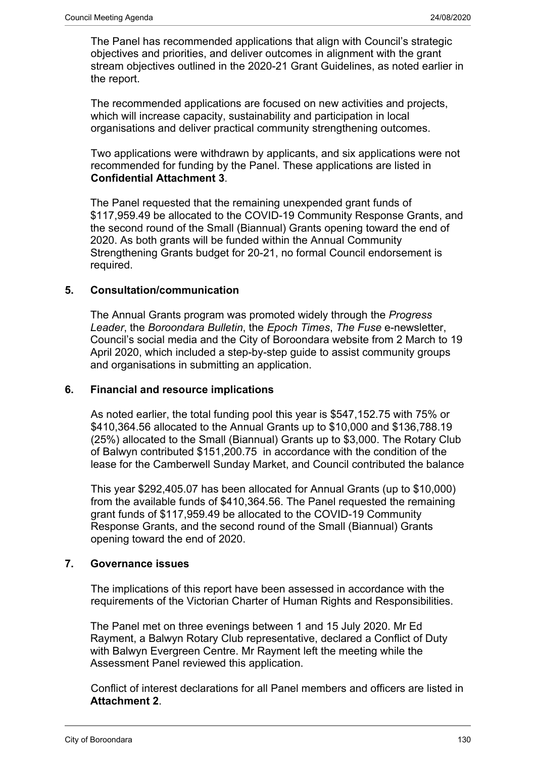The Panel has recommended applications that align with Council's strategic objectives and priorities, and deliver outcomes in alignment with the grant stream objectives outlined in the 2020-21 Grant Guidelines, as noted earlier in the report.

The recommended applications are focused on new activities and projects, which will increase capacity, sustainability and participation in local organisations and deliver practical community strengthening outcomes.

Two applications were withdrawn by applicants, and six applications were not recommended for funding by the Panel. These applications are listed in **Confidential Attachment 3**.

The Panel requested that the remaining unexpended grant funds of \$117,959.49 be allocated to the COVID-19 Community Response Grants, and the second round of the Small (Biannual) Grants opening toward the end of 2020. As both grants will be funded within the Annual Community Strengthening Grants budget for 20-21, no formal Council endorsement is required.

#### **5. Consultation/communication**

The Annual Grants program was promoted widely through the *Progress Leader*, the *Boroondara Bulletin*, the *Epoch Times*, *The Fuse* e-newsletter, Council's social media and the City of Boroondara website from 2 March to 19 April 2020, which included a step-by-step guide to assist community groups and organisations in submitting an application.

#### **6. Financial and resource implications**

As noted earlier, the total funding pool this year is \$547,152.75 with 75% or \$410,364.56 allocated to the Annual Grants up to \$10,000 and \$136,788.19 (25%) allocated to the Small (Biannual) Grants up to \$3,000. The Rotary Club of Balwyn contributed \$151,200.75 in accordance with the condition of the lease for the Camberwell Sunday Market, and Council contributed the balance

This year \$292,405.07 has been allocated for Annual Grants (up to \$10,000) from the available funds of \$410,364.56. The Panel requested the remaining grant funds of \$117,959.49 be allocated to the COVID-19 Community Response Grants, and the second round of the Small (Biannual) Grants opening toward the end of 2020.

#### **7. Governance issues**

The implications of this report have been assessed in accordance with the requirements of the Victorian Charter of Human Rights and Responsibilities.

The Panel met on three evenings between 1 and 15 July 2020. Mr Ed Rayment, a Balwyn Rotary Club representative, declared a Conflict of Duty with Balwyn Evergreen Centre. Mr Rayment left the meeting while the Assessment Panel reviewed this application.

Conflict of interest declarations for all Panel members and officers are listed in **Attachment 2**.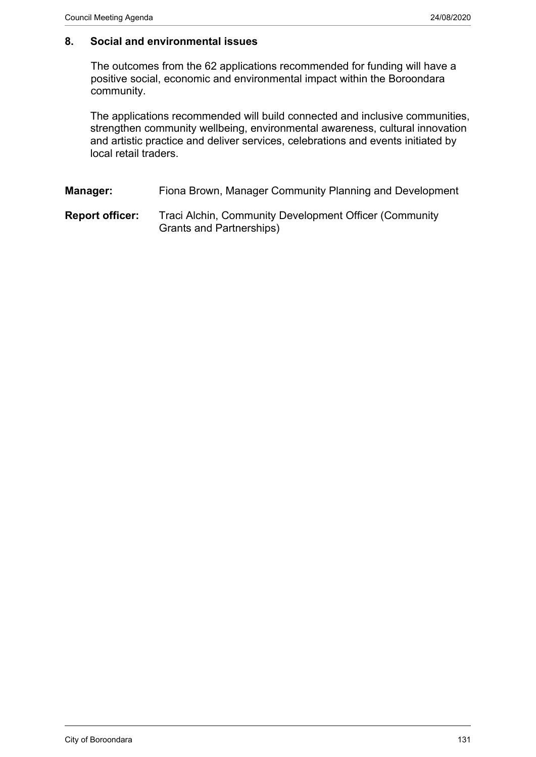#### **8. Social and environmental issues**

The outcomes from the 62 applications recommended for funding will have a positive social, economic and environmental impact within the Boroondara community.

The applications recommended will build connected and inclusive communities, strengthen community wellbeing, environmental awareness, cultural innovation and artistic practice and deliver services, celebrations and events initiated by local retail traders.

**Manager:** Fiona Brown, Manager Community Planning and Development

**Report officer:** Traci Alchin, Community Development Officer (Community Grants and Partnerships)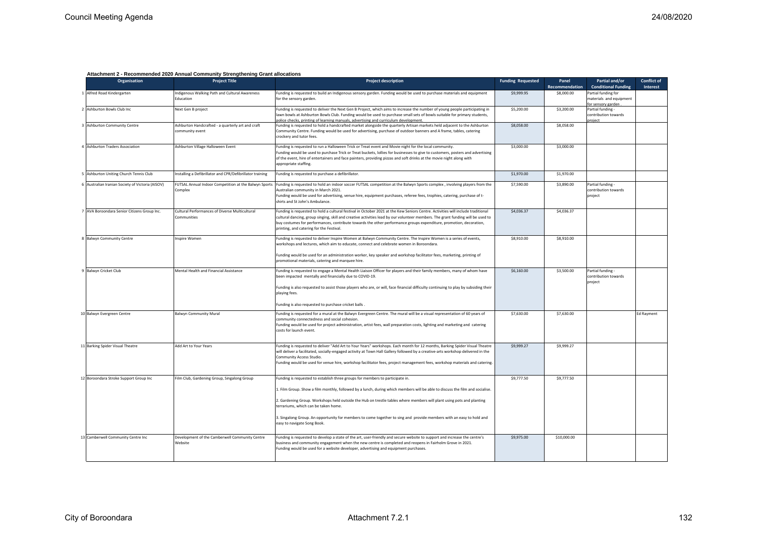| <b>Organisation</b>                            | <b>Project Title</b>                                                 | <b>Project description</b>                                                                                                                                                                                                                                                                                                                                                                                                                                                                                                             | <b>Funding Requested</b> | Panel          | Partial and/or                                                      | <b>Conflict of</b> |
|------------------------------------------------|----------------------------------------------------------------------|----------------------------------------------------------------------------------------------------------------------------------------------------------------------------------------------------------------------------------------------------------------------------------------------------------------------------------------------------------------------------------------------------------------------------------------------------------------------------------------------------------------------------------------|--------------------------|----------------|---------------------------------------------------------------------|--------------------|
|                                                |                                                                      |                                                                                                                                                                                                                                                                                                                                                                                                                                                                                                                                        |                          | Recommendation | <b>Conditional Funding</b>                                          | Interest           |
| 1 Alfred Road Kindergarten                     | ndigenous Walking Path and Cultural Awareness<br>Education           | Funding is requested to build an Indigenous sensory garden. Funding would be used to purchase materials and equipment<br>for the sensory garden.                                                                                                                                                                                                                                                                                                                                                                                       | \$9,999.95               | \$8,000.00     | Partial funding for<br>materials and equipment<br>or sensory garder |                    |
| Ashburton Bowls Club Inc                       | Next Gen B project                                                   | Funding is requested to deliver the Next Gen B Project, which aims to increase the number of young people participating in<br>lawn bowls at Ashburton Bowls Club. Funding would be used to purchase small sets of bowls suitable for primary students,<br>police checks, printing of learning manuals, advertising and curriculum development                                                                                                                                                                                          | \$5,200.00               | \$3,200.00     | Partial funding -<br>contribution towards<br>rniert                 |                    |
| <b>Ashburton Community Centre</b>              | Ashburton Handcrafted - a quarterly art and craft<br>community event | Funding is requested to hold a handcrafted market alongside the quarterly Artisan markets held adjacent to the Ashburton<br>Community Centre. Funding would be used for advertising, purchase of outdoor banners and A frame, tables, catering<br>crockery and tutor fees.                                                                                                                                                                                                                                                             | \$8,058.00               | \$8,058.00     |                                                                     |                    |
| <b>Ashburton Traders Association</b>           | Ashburton Village Halloween Event                                    | Funding is requested to run a Halloween Trick or Treat event and Movie night for the local community.<br>Funding would be used to purchase Trick or Treat buckets, Iollies for businesses to give to customers, posters and advertising<br>of the event, hire of entertainers and face painters, providing pizzas and soft drinks at the movie night along with<br>appropriate staffing.                                                                                                                                               | \$3,000.00               | \$3,000.00     |                                                                     |                    |
| Ashburton Uniting Church Tennis Club           | Installing a Defibrillator and CPR/Defibrillator training            | Funding is requested to purchase a defibrillator.                                                                                                                                                                                                                                                                                                                                                                                                                                                                                      | \$1,970.00               | \$1,970.00     |                                                                     |                    |
| Australian Iranian Society of Victoria (AISOV) | FUTSAL Annual Indoor Competition at the Balwyn Sports<br>Complex     | Funding is requested to hold an indoor soccer FUTSAL competition at the Balwyn Sports complex, involving players from the<br>Australian community in March 2021.<br>Funding would be used for advertising, venue hire, equipment purchases, referee fees, trophies, catering, purchase of t-<br>shirts and St John's Ambulance.                                                                                                                                                                                                        | \$7,590.00               | \$3,890.00     | Partial funding -<br>contribution towards<br>project                |                    |
| AVA Boroondara Senior Citizens Group Inc.      | Cultural Performances of Diverse Multicultural<br>Communities        | Funding is requested to hold a cultural festival in October 2021 at the Kew Seniors Centre. Activities will include traditional<br>cultural dancing, group singing, skill and creative activities lead by our volunteer members. The grant funding will be used to<br>buy costumes for performances, contribute towards the other performance groups expenditure, promotion, decoration,<br>printing, and catering for the Festival.                                                                                                   | \$4,036.37               | \$4,036.37     |                                                                     |                    |
| <b>Balwyn Community Centre</b>                 | nspire Women                                                         | Funding is requested to deliver Inspire Women at Balwyn Community Centre. The Inspire Women is a series of events,<br>workshops and lectures, which aim to educate, connect and celebrate women in Boroondara.                                                                                                                                                                                                                                                                                                                         | \$8,910.00               | \$8,910.00     |                                                                     |                    |
|                                                |                                                                      | Funding would be used for an administration worker, key speaker and workshop facilitator fees, marketing, printing of<br>promotional materials, catering and marquee hire.                                                                                                                                                                                                                                                                                                                                                             |                          |                |                                                                     |                    |
| <b>Balwyn Cricket Club</b>                     | Mental Health and Financial Assistance                               | Funding is requested to engage a Mental Health Liaison Officer for players and their family members, many of whom have<br>been impacted mentally and financially due to COVID-19.<br>Funding is also requested to assist those players who are, or will, face financial difficulty continuing to play by subsiding their<br>playing fees.                                                                                                                                                                                              | \$6,160.00               | \$3,500.00     | Partial funding -<br>contribution towards<br>project                |                    |
|                                                |                                                                      | Funding is also requested to purchase cricket balls.                                                                                                                                                                                                                                                                                                                                                                                                                                                                                   |                          |                |                                                                     |                    |
| 10 Balwyn Evergreen Centre                     | <b>Balwyn Community Mural</b>                                        | Funding is requested for a mural at the Balwyn Evergreen Centre. The mural will be a visual representation of 60 years of<br>community connectedness and social cohesion.<br>Funding would be used for project administration, artist fees, wall preparation costs, lighting and marketing and catering<br>costs for launch event.                                                                                                                                                                                                     | \$7,630.00               | \$7,630.00     |                                                                     | <b>Ed Rayment</b>  |
| <b>Barking Spider Visual Theatre</b>           | Add Art to Your Years                                                | Funding is requested to deliver "Add Art to Your Years" workshops. Each month for 12 months, Barking Spider Visual Theatre<br>will deliver a facilitated, socially-engaged activity at Town Hall Gallery followed by a creative-arts workshop delivered in the<br>Community Access Studio.<br>Funding would be used for venue hire, workshop facilitator fees, project management fees, workshop materials and catering.                                                                                                               | \$9,999.27               | \$9,999.27     |                                                                     |                    |
| 12 Boroondara Stroke Support Group Inc         | Film Club, Gardening Group, Singalong Group                          | Funding is requested to establish three groups for members to participate in.<br>1. Film Group. Show a film monthly, followed by a lunch, during which members will be able to discuss the film and socialise.<br>2. Gardening Group. Workshops held outside the Hub on trestle tables where members will plant using pots and planting<br>terrariums, which can be taken home.<br>3. Singalong Group. An opportunity for members to come together to sing and provide members with an easy to hold and<br>easy to navigate Song Book. | \$9,777.50               | \$9,777.50     |                                                                     |                    |
| Camberwell Community Centre Inc                | Development of the Camberwell Community Centre<br>Website            | Funding is requested to develop a state of the art, user-friendly and secure website to support and increase the centre's<br>business and community engagement when the new centre is completed and reopens in Fairholm Grove in 2021.<br>Funding would be used for a website developer, advertising and equipment purchases.                                                                                                                                                                                                          | \$9,975.00               | \$10,000.00    |                                                                     |                    |

#### **Attachment 2 - Recommended 2020 Annual Community Strengthening Grant allocations**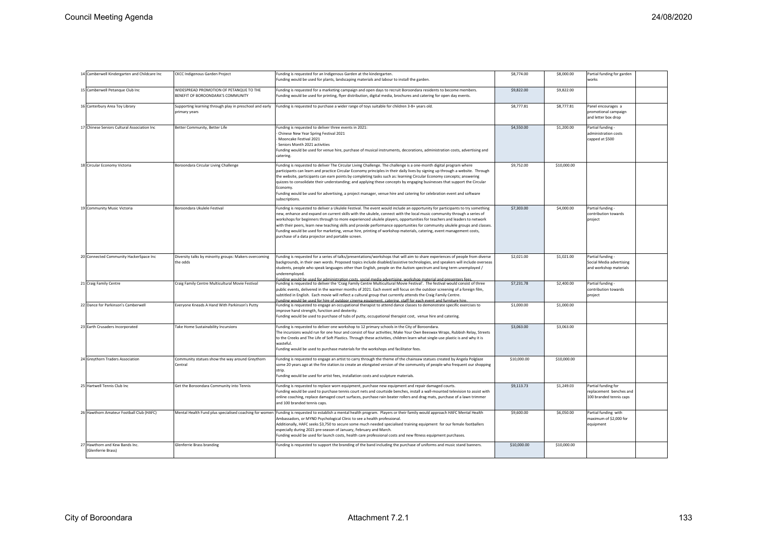| 14 Camberwell Kindergarten and Childcare Inc         | <b>CKCC Indigenous Garden Project</b>                                        | Funding is requested for an Indigenous Garden at the kindergarten.<br>Funding would be used for plants, landscaping materials and labour to install the garden.                                                                                                                                                                                                                                                                                                                                                                                                                                                                                                                            | \$8,774.00  | \$8,000.00  | Partial funding for garden<br>works                                       |  |
|------------------------------------------------------|------------------------------------------------------------------------------|--------------------------------------------------------------------------------------------------------------------------------------------------------------------------------------------------------------------------------------------------------------------------------------------------------------------------------------------------------------------------------------------------------------------------------------------------------------------------------------------------------------------------------------------------------------------------------------------------------------------------------------------------------------------------------------------|-------------|-------------|---------------------------------------------------------------------------|--|
| 15 Camberwell Petanque Club Inc                      | WIDESPREAD PROMOTION OF PETANQUE TO THE<br>BENEFIT OF BOROONDARA'S COMMUNITY | Funding is requested for a marketing campaign and open days to recruit Boroondara residents to become members.<br>Funding would be used for printing, flyer distribution, digital media, brochures and catering for open day events.                                                                                                                                                                                                                                                                                                                                                                                                                                                       | \$9,822.00  | \$9,822.00  |                                                                           |  |
| 16 Canterbury Area Toy Library                       | Supporting learning through play in preschool and early<br>primary years     | Funding is requested to purchase a wider range of toys suitable for children 3-8+ years old.                                                                                                                                                                                                                                                                                                                                                                                                                                                                                                                                                                                               | \$8,777.81  | \$8,777.81  | Panel encourages a<br>promotional campaign<br>and letter box drop         |  |
| 17 Chinese Seniors Cultural Association Inc          | Better Community, Better Life                                                | Funding is requested to deliver three events in 2021:<br>Chinese New Year Spring Festival 2021<br>Mooncake Festival 2021<br>Seniors Month 2021 activities<br>Funding would be used for venue hire, purchase of musical instruments, decorations, administration costs, advertising and<br>catering.                                                                                                                                                                                                                                                                                                                                                                                        | \$4,550.00  | \$1,200.00  | Partial funding<br>administration costs<br>capped at \$500                |  |
| 18 Circular Economy Victoria                         | Boroondara Circular Living Challenge                                         | Funding is requested to deliver The Circular Living Challenge. The challenge is a one-month digital program where<br>participants can learn and practice Circular Economy principles in their daily lives by signing up through a website. Through<br>the website, participants can earn points by completing tasks such as: learning Circular Economy concepts; answering<br>quizzes to consolidate their understanding; and applying these concepts by engaging businesses that support the Circular<br>Economy<br>Funding would be used for advertising, a project manager, venue hire and catering for celebration event and software<br>subscriptions.                                | \$9,752.00  | \$10,000.00 |                                                                           |  |
| 19 Community Music Victoria                          | Boroondara Ukulele Festival                                                  | Funding is requested to deliver a Ukulele Festival. The event would include an opportunity for participants to try something<br>new, enhance and expand on current skills with the ukulele, connect with the local music community through a series of<br>workshops for beginners through to more experienced ukulele players, opportunities for teachers and leaders to network<br>with their peers, learn new teaching skills and provide performance opportunities for community ukulele groups and classes.<br>Funding would be used for marketing, venue hire, printing of workshop materials, catering, event management costs,<br>purchase of a data projector and portable screen. | \$7,303.00  | \$4,000.00  | Partial funding<br>contribution towards<br>project                        |  |
| 20 Connected Community HackerSpace Inc               | Diversity talks by minority groups: Makers overcoming<br>the odds            | Funding is requested for a series of talks/presentations/workshops that will aim to share experiences of people from diverse<br>backgrounds, in their own words. Proposed topics include disabled/assistive technologies, and speakers will include overseas<br>students, people who speak languages other than English, people on the Autism spectrum and long term unemployed /<br>underemploved.<br>nding would be used for administration costs, social media advertising, workshon material and presente                                                                                                                                                                              | \$2,021.00  | \$1,021.00  | Partial funding -<br>Social Media advertising<br>and workshop materials   |  |
| 21 Craig Family Centre                               | Craig Family Centre Multicultural Movie Festival                             | Funding is requested to deliver the 'Craig Family Centre Multicultural Movie Festival'. The festival would consist of three<br>oublic events, delivered in the warmer months of 2021. Each event will focus on the outdoor screening of a foreign film,<br>subtitled in English. Each movie will reflect a cultural group that currently attends the Craig Family Centre.<br>unding would be used for hire of outdoor cinema equipment, catering, staff for each event and furniture hire                                                                                                                                                                                                  | \$7,231.78  | \$2,400.00  | Partial funding<br>contribution towards<br>project                        |  |
| 22 Dance for Parkinson's Camberwell                  | Everyone Kneads A Hand With Parkinson's Putty                                | Funding is requested to engage an occupational therapist to attend dance classes to demonstrate specific exercises to<br>mprove hand strength, function and dexterity.<br>Funding would be used to purchase of tubs of putty, occupational therapist cost, venue hire and catering.                                                                                                                                                                                                                                                                                                                                                                                                        | \$1,000.00  | \$1,000.00  |                                                                           |  |
| 23 Earth Crusaders Incorporated                      | Take Home Sustainability Incursions                                          | Funding is requested to deliver one workshop to 12 primary schools in the City of Boroondara.<br>The incursions would run for one hour and consist of four activities; Make Your Own Beeswax Wraps, Rubbish Relay, Streets<br>to the Creeks and The Life of Soft Plastics. Through these activities, children learn what single-use plastic is and why it is<br>wasteful<br>Funding would be used to purchase materials for the workshops and facilitator fees.                                                                                                                                                                                                                            | \$3,063.00  | \$3,063.00  |                                                                           |  |
| 24 Greythorn Traders Association                     | Community statues show the way around Greythorn<br>Central                   | Funding is requested to engage an artist to carry through the theme of the chainsaw statues created by Angela Polglaze<br>some 20 years ago at the fire station.to create an elongated version of the community of people who frequent our shopping<br>strip.<br>Funding would be used for artist fees, installation costs and sculpture materials.                                                                                                                                                                                                                                                                                                                                        | \$10,000.00 | \$10,000.00 |                                                                           |  |
| 25 Hartwell Tennis Club Inc                          | Get the Boroondara Community into Tennis                                     | Funding is requested to replace worn equipment, purchase new equipment and repair damaged courts.<br>Funding would be used to purchase tennis court nets and courtside benches, install a wall-mounted television to assist with<br>online coaching, replace damaged court surfaces, purchase rain beater rollers and drag mats, purchase of a lawn trimmer<br>and 100 branded tennis caps.                                                                                                                                                                                                                                                                                                | \$9,113.73  | \$1,249.03  | Partial funding for<br>replacement benches and<br>100 branded tennis caps |  |
| 26 Hawthorn Amateur Football Club (HAFC)             | Mental Health Fund plus specialised coaching for womer                       | Funding is requested to establish a mental health program. Players or their family would approach HAFC Mental Health<br>Ambassadors, or MYND Psychological Clinic to see a health professional.<br>Additionally, HAFC seeks \$3,750 to secure some much needed specialised training equipment for our female footballers<br>especially during 2021 pre-season of January, February and March.<br>Funding would be used for launch costs, health care professional costs and new fitness equipment purchases.                                                                                                                                                                               | \$9,600.00  | \$6,050.00  | Partial funding with<br>maximum of \$2,000 for<br>equipment               |  |
| 27 Hawthorn and Kew Bands Inc.<br>(Glenferrie Brass) | <b>Glenferrie Brass branding</b>                                             | Funding is requested to support the branding of the band including the purchase of uniforms and music stand banners.                                                                                                                                                                                                                                                                                                                                                                                                                                                                                                                                                                       | \$10,000.00 | \$10,000.00 |                                                                           |  |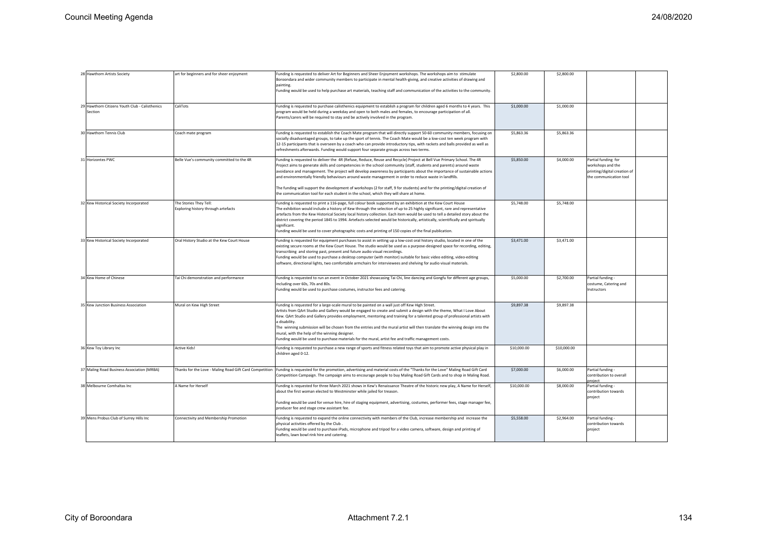| 28 Hawthorn Artists Society                               | art for beginners and for sheer enjoyment                     | Funding is requested to deliver Art for Beginners and Sheer Enjoyment workshops. The workshops aim to stimulate<br>Boroondara and wider community members to participate in mental health-giving, and creative activities of drawing and<br>painting.<br>Funding would be used to help purchase art materials, teaching staff and communication of the activities to the community.                                                                                                                                                                                                                                                                                                                         | \$2,800.00  | \$2,800.00  |                                                                                                    |  |
|-----------------------------------------------------------|---------------------------------------------------------------|-------------------------------------------------------------------------------------------------------------------------------------------------------------------------------------------------------------------------------------------------------------------------------------------------------------------------------------------------------------------------------------------------------------------------------------------------------------------------------------------------------------------------------------------------------------------------------------------------------------------------------------------------------------------------------------------------------------|-------------|-------------|----------------------------------------------------------------------------------------------------|--|
| 29 Hawthorn Citizens Youth Club - Calisthenics<br>Section | CaliTots                                                      | Funding is requested to purchase calisthenics equipment to establish a program for children aged 6 months to 4 years. This<br>program would be held during a weekday and open to both males and females, to encourage participation of all.<br>Parents/carers will be required to stay and be actively involved in the program.                                                                                                                                                                                                                                                                                                                                                                             | \$1,000.00  | \$1,000.00  |                                                                                                    |  |
| 30 Hawthorn Tennis Club                                   | Coach mate program                                            | unding is requested to establish the Coach Mate program that will directly support 50-60 community members, focusing on<br>socially disadvantaged groups, to take up the sport of tennis. The Coach Mate would be a low-cost ten week program with<br>12-15 participants that is overseen by a coach who can provide introductory tips, with rackets and balls provided as well as<br>refreshments afterwards. Funding would support four separate groups across two terms.                                                                                                                                                                                                                                 | \$5,863.36  | \$5,863.36  |                                                                                                    |  |
| 31 Horizontes PWC                                         | Belle Vue's community committed to the 4R                     | Funding is requested to deliver the 4R (Refuse, Reduce, Reuse and Recycle) Project at Bell Vue Primary School. The 4R<br>Project aims to generate skills and competencies in the school community (staff, students and parents) around waste<br>avoidance and management. The project will develop awareness by participants about the importance of sustainable actions<br>and environmentally friendly behaviours around waste management in order to reduce waste in landfills.<br>The funding will support the development of workshops (2 for staff, 9 for students) and for the printing/digital creation of<br>the communication tool for each student in the school, which they will share at home. | \$5,850.00  | \$4,000.00  | Partial funding for<br>workshops and the<br>printing/digital creation of<br>the communication tool |  |
| 32 Kew Historical Society Incorporated                    | The Stories They Tell:<br>Exploring history through artefacts | Funding is requested to print a 116-page, full colour book supported by an exhibition at the Kew Court House<br>The exhibition would include a history of Kew through the selection of up to 25 highly significant, rare and representative<br>artefacts from the Kew Historical Society local history collection. Each item would be used to tell a detailed story about the<br>district covering the period 1845 to 1994. Artefacts selected would be historically, artistically, scientifically and spiritually<br>significant.<br>Funding would be used to cover photographic costs and printing of 150 copies of the final publication.                                                                | \$5,748.00  | \$5,748.00  |                                                                                                    |  |
| 33 Kew Historical Society Incorporated                    | Oral History Studio at the Kew Court House                    | Funding is requested for equipment purchases to assist in setting up a low-cost oral history studio, located in one of the<br>existing secure rooms at the Kew Court House. The studio would be used as a purpose-designed space for recording, editing,<br>transcribing and storing past, present and future audio visual recordings.<br>unding would be used to purchase a desktop computer (with monitor) suitable for basic video editing, video-editing<br>software, directional lights, two comfortable armchairs for interviewees and shelving for audio visual materials.                                                                                                                           | \$3,471.00  | \$3,471.00  |                                                                                                    |  |
| 34 Kew Home of Chinese                                    | Tai Chi demonstration and performance                         | Funding is requested to run an event in October 2021 showcasing Tai Chi, line dancing and Gongfu for different age groups,<br>including over 60s, 70s and 80s.<br>Funding would be used to purchase costumes, instructor fees and catering.                                                                                                                                                                                                                                                                                                                                                                                                                                                                 | \$5,000.00  | \$2,700.00  | Partial funding -<br>costume, Catering and<br>Instructors                                          |  |
| 35 Kew Junction Business Association                      | Mural on Kew High Street                                      | Funding is requested for a large-scale mural to be painted on a wall just off Kew High Street.<br>Artists from QArt Studio and Gallery would be engaged to create and submit a design with the theme, What I Love About<br>Kew. QArt Studio and Gallery provides employment, mentoring and training for a talented group of professional artists with<br>a disability.<br>The winning submission will be chosen from the entries and the mural artist will then translate the winning design into the<br>mural, with the help of the winning designer.<br>Funding would be used to purchase materials for the mural, artist fee and traffic management costs.                                               | \$9,897.38  | \$9,897.38  |                                                                                                    |  |
| 36 Kew Toy Library Inc                                    | <b>Active Kids!</b>                                           | Funding is requested to purchase a new range of sports and fitness related toys that aim to promote active physical play in<br>children aged 0-12.                                                                                                                                                                                                                                                                                                                                                                                                                                                                                                                                                          | \$10,000.00 | \$10,000.00 |                                                                                                    |  |
| 37 Maling Road Business Association (MRBA)                | Thanks for the Love - Maling Road Gift Card Competition       | Funding is requested for the promotion, advertising and material costs of the "Thanks for the Love" Maling Road Gift Card<br>Competition Campaign. The campaign aims to encourage people to buy Maling Road Gift Cards and to shop in Maling Road.                                                                                                                                                                                                                                                                                                                                                                                                                                                          | \$7,000.00  | \$6,000.00  | Partial funding -<br>contribution to overall<br>roiect                                             |  |
| 38 Melbourne Comhaltas Inc                                | A Name for Herself                                            | Funding is requested for three March 2021 shows in Kew's Renaissance Theatre of the historic new play, A Name for Herself,<br>about the first woman elected to Westminster while jailed for treason.<br>Funding would be used for venue hire, hire of staging equipment, advertising, costumes, performer fees, stage manager fee,<br>producer fee and stage crew assistant fee.                                                                                                                                                                                                                                                                                                                            | \$10,000.00 | \$8,000.00  | Partial funding -<br>contribution towards<br>project                                               |  |
| 39 Mens Probus Club of Surrey Hills Inc                   | Connectivity and Membership Promotion                         | Funding is requested to expand the online connectivity with members of the Club, increase membership and increase the<br>physical activities offered by the Club.<br>unding would be used to purchase iPads, microphone and tripod for a video camera, software, design and printing of<br>leaflets, lawn bowl rink hire and catering.                                                                                                                                                                                                                                                                                                                                                                      | \$5,558.00  | \$2,964.00  | Partial funding -<br>contribution towards<br>project                                               |  |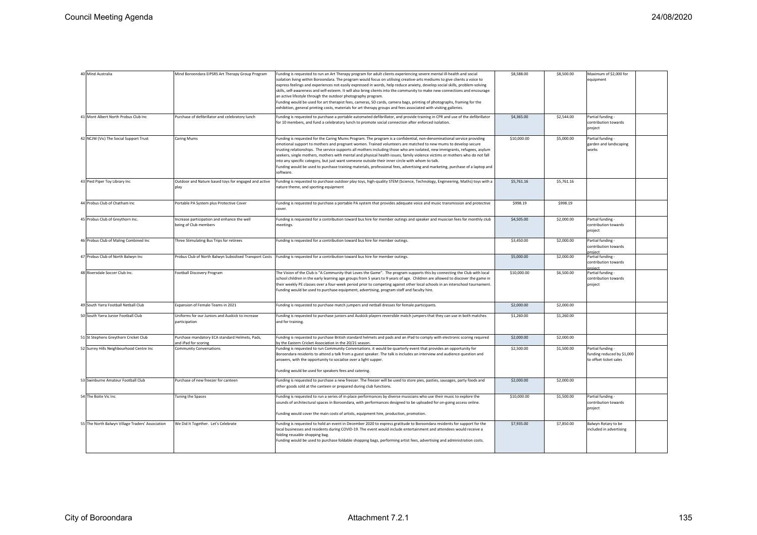| 40 Mind Australia                                | Mind Boroondara EIPSRS Art Therapy Group Program                      | Funding is requested to run an Art Therapy program for adult clients experiencing severe mental ill-health and social<br>solation living within Boroondara. The program would focus on utilising creative-arts mediums to give clients a voice to<br>express feelings and experiences not easily expressed in words, help reduce anxiety, develop social skills, problem-solving<br>skills, self-awareness and self-esteem. It will also bring clients into the community to make new connections and encourage<br>an active lifestyle through the outdoor photography program.<br>Funding would be used for art therapist fees, cameras, SD cards, camera bags, printing of photographs, framing for the<br>exhibition, general printing costs, materials for art therapy groups and fees associated with visiting galleries. | \$8,588.00  | \$8,500.00 | Maximum of \$2,000 for<br>equipment                                       |  |
|--------------------------------------------------|-----------------------------------------------------------------------|--------------------------------------------------------------------------------------------------------------------------------------------------------------------------------------------------------------------------------------------------------------------------------------------------------------------------------------------------------------------------------------------------------------------------------------------------------------------------------------------------------------------------------------------------------------------------------------------------------------------------------------------------------------------------------------------------------------------------------------------------------------------------------------------------------------------------------|-------------|------------|---------------------------------------------------------------------------|--|
| 41 Mont Albert North Probus Club Inc             | Purchase of defibrillator and celebratory lunch                       | Funding is requested to purchase a portable automated defibrillator, and provide training in CPR and use of the defibrillator<br>or 10 members, and fund a celebratory lunch to promote social connection after enforced isolation.                                                                                                                                                                                                                                                                                                                                                                                                                                                                                                                                                                                            | \$4,365.00  | \$2,544.00 | Partial funding<br>contribution towards<br>project                        |  |
| 42 NCJW (Vic) The Social Support Trust           | Caring Mums                                                           | Funding is requested for the Caring Mums Program. The program is a confidential, non-denominational service providing<br>emotional support to mothers and pregnant women. Trained volunteers are matched to new mums to develop secure<br>trusting relationships. The service supports all mothers including those who are isolated, new immigrants, refugees, asylum<br>seekers, single mothers, mothers with mental and physical health issues, family violence victims or mothers who do not fall<br>nto any specific category, but just want someone outside their inner circle with whom to talk.<br>Funding would be used to purchase training materials, professional fees, advertising and marketing, purchase of a laptop and<br>software.                                                                            | \$10,000.00 | \$5,000.00 | Partial funding -<br>garden and landscaping<br>works                      |  |
| 43 Pied Piper Toy Library Inc                    | Outdoor and Nature based toys for engaged and active<br>play          | Funding is requested to purchase outdoor play toys, high-quality STEM (Science, Technology, Engineering, Maths) toys with a<br>nature theme, and sporting equipment                                                                                                                                                                                                                                                                                                                                                                                                                                                                                                                                                                                                                                                            | \$5,761.16  | \$5,761.16 |                                                                           |  |
| 44 Probus Club of Chatham Inc                    | Portable PA System plus Protective Cover                              | Funding is requested to purchase a portable PA system that provides adequate voice and music transmission and protective<br>cover.                                                                                                                                                                                                                                                                                                                                                                                                                                                                                                                                                                                                                                                                                             | \$998.19    | \$998.19   |                                                                           |  |
| 45 Probus Club of Greythorn Inc.                 | Increase participation and enhance the well<br>being of Club members  | Funding is requested for a contribution toward bus hire for member outings and speaker and musician fees for monthly club<br>meetings.                                                                                                                                                                                                                                                                                                                                                                                                                                                                                                                                                                                                                                                                                         | \$4,505.00  | \$2,000.00 | Partial funding -<br>contribution towards<br>project                      |  |
| 46 Probus Club of Maling Combined Inc            | Three Stimulating Bus Trips for retirees                              | Funding is requested for a contribution toward bus hire for member outings.                                                                                                                                                                                                                                                                                                                                                                                                                                                                                                                                                                                                                                                                                                                                                    | \$3,450.00  | \$2,000.00 | Partial funding -<br>contribution towards<br>project                      |  |
| 47 Probus Club of North Balwyn Inc               | Probus Club of North Balwyn Subsidised Transport Costs                | Funding is requested for a contribution toward bus hire for member outings.                                                                                                                                                                                                                                                                                                                                                                                                                                                                                                                                                                                                                                                                                                                                                    | \$5,000.00  | \$2,000.00 | Partial funding -<br>contribution towards<br>roject                       |  |
| 48 Riversdale Soccer Club Inc.                   | Football Discovery Program                                            | The Vision of the Club is "A Community that Loves the Game". The program supports this by connecting the Club with local<br>school children in the early learning age groups from 5 years to 9 years of age. Children are allowed to discover the game in<br>their weekly PE classes over a four-week period prior to competing against other local schools in an interschool tournament.<br>Funding would be used to purchase equipment, advertising, program staff and faculty hire.                                                                                                                                                                                                                                                                                                                                         | \$10,000.00 | \$6,500.00 | Partial funding -<br>contribution towards<br>project                      |  |
| 49 South Yarra Football Netball Club             | Expansion of Female Teams in 2021                                     | Funding is requested to purchase match jumpers and netball dresses for female participants.                                                                                                                                                                                                                                                                                                                                                                                                                                                                                                                                                                                                                                                                                                                                    | \$2,000.00  | \$2,000.00 |                                                                           |  |
| 50 South Yarra Junior Football Club              | Jniforms for our Juniors and Auskick to increase<br>participation     | unding is requested to purchase juniors and Auskick players reversible match jumpers that they can use in both matches<br>and for training.                                                                                                                                                                                                                                                                                                                                                                                                                                                                                                                                                                                                                                                                                    | \$1,260.00  | \$1,260.00 |                                                                           |  |
| 51 St Stephens Greythorn Cricket Club            | Purchase mandatory ECA standard Helmets, Pads,<br>nd iPad for scoring | unding is requested to purchase British standard helmets and pads and an iPad to comply with electronic scoring required<br>y the Eastern Cricket Association in the 20/21 season.                                                                                                                                                                                                                                                                                                                                                                                                                                                                                                                                                                                                                                             | \$2,000.00  | \$2,000.00 |                                                                           |  |
| 52 Surrey Hills Neighbourhood Centre Inc         | <b>Community Conversations</b>                                        | Funding is requested to run Community Conversations. it would be quarterly event that provides an opportunity for<br>Boroondara residents to attend a talk from a guest speaker. The talk is includes an interview and audience question and<br>answers, with the opportunity to socialise over a light supper.<br>Funding would be used for speakers fees and catering.                                                                                                                                                                                                                                                                                                                                                                                                                                                       | \$2,500.00  | \$1,500.00 | Partial funding -<br>funding reduced by \$1,000<br>to offset ticket sales |  |
| 53 Swinburne Amateur Football Club               | Purchase of new freezer for canteen                                   | Funding is requested to purchase a new freezer. The freezer will be used to store pies, pasties, sausages, party foods and<br>other goods sold at the canteen or prepared during club functions.                                                                                                                                                                                                                                                                                                                                                                                                                                                                                                                                                                                                                               | \$2,000.00  | \$2,000.00 |                                                                           |  |
| 54 The Boite Vic Inc                             | <b>Funing the Spaces</b>                                              | Funding is requested to run a series of in-place performances by diverse musicians who use their music to explore the<br>sounds of architectural spaces in Boroondara, with performances designed to be uploaded for on-going access online.<br>Funding would cover the main costs of artists, equipment hire, production, promotion.                                                                                                                                                                                                                                                                                                                                                                                                                                                                                          | \$10,000.00 | \$1,500.00 | Partial funding -<br>contribution towards<br>project                      |  |
| 55 The North Balwyn Village Traders' Association | We Did It Together. Let's Celebrate                                   | Funding is requested to hold an event in December 2020 to express gratitude to Boroondara residents for support for the<br>ocal businesses and residents during COVID-19. The event would include entertainment and attendees would receive a<br>folding reusable shopping bag.<br>Funding would be used to purchase foldable shopping bags, performing artist fees, advertising and administration costs.                                                                                                                                                                                                                                                                                                                                                                                                                     | \$7,935.00  | \$7,850.00 | Balwyn Rotary to be<br>included in advertising                            |  |